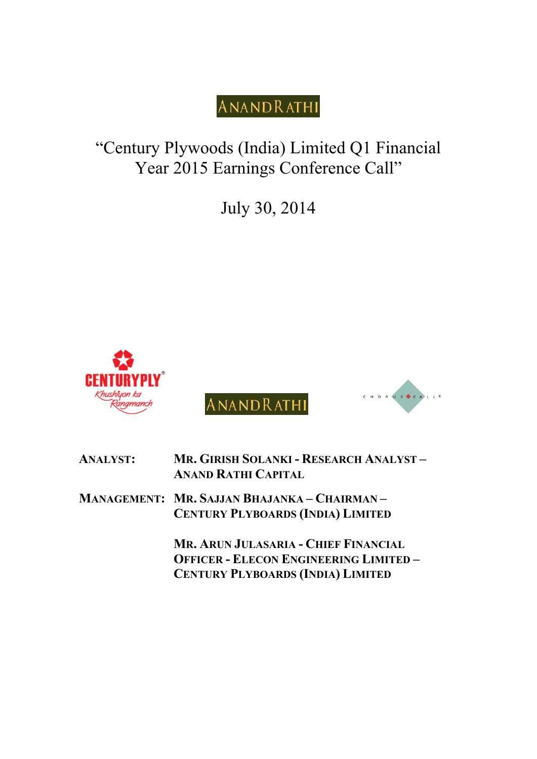## "Century Plywoods (India) Limited Q1 Financial Year 2015 Earnings Conference Call"

July 30, 2014







| <b>ANALYST:</b> | MR. GIRISH SOLANKI - RESEARCH ANALYST -<br><b>ANAND RATHI CAPITAL</b>                                                             |
|-----------------|-----------------------------------------------------------------------------------------------------------------------------------|
|                 | MANAGEMENT: MR. SAJJAN BHAJANKA - CHAIRMAN -<br><b>CENTURY PLYBOARDS (INDIA) LIMITED</b>                                          |
|                 | MR. ARUN JULASARIA - CHIEF FINANCIAL<br><b>OFFICER - ELECON ENGINEERING LIMITED -</b><br><b>CENTURY PLYBOARDS (INDIA) LIMITED</b> |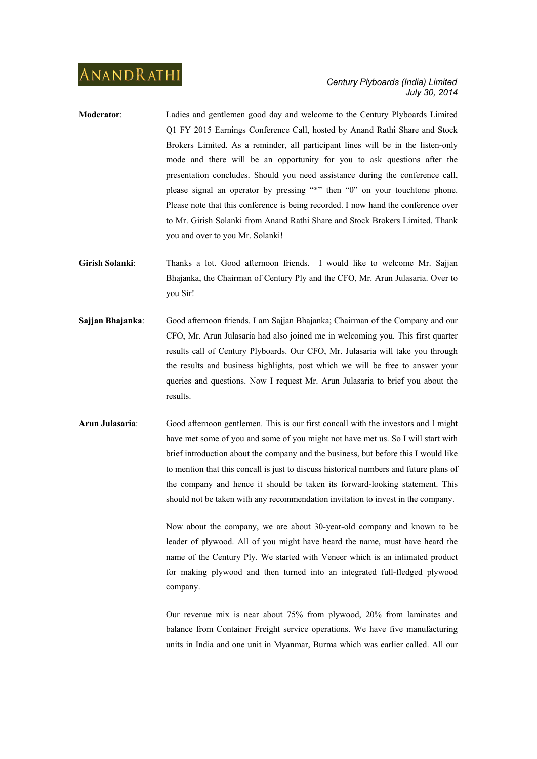- **Moderator**: Ladies and gentlemen good day and welcome to the Century Plyboards Limited Q1 FY 2015 Earnings Conference Call, hosted by Anand Rathi Share and Stock Brokers Limited. As a reminder, all participant lines will be in the listen-only mode and there will be an opportunity for you to ask questions after the presentation concludes. Should you need assistance during the conference call, please signal an operator by pressing "\*" then "0" on your touchtone phone. Please note that this conference is being recorded. I now hand the conference over to Mr. Girish Solanki from Anand Rathi Share and Stock Brokers Limited. Thank you and over to you Mr. Solanki!
- **Girish Solanki**: Thanks a lot. Good afternoon friends. I would like to welcome Mr. Sajjan Bhajanka, the Chairman of Century Ply and the CFO, Mr. Arun Julasaria. Over to you Sir!
- **Sajjan Bhajanka**: Good afternoon friends. I am Sajjan Bhajanka; Chairman of the Company and our CFO, Mr. Arun Julasaria had also joined me in welcoming you. This first quarter results call of Century Plyboards. Our CFO, Mr. Julasaria will take you through the results and business highlights, post which we will be free to answer your queries and questions. Now I request Mr. Arun Julasaria to brief you about the results.
- **Arun Julasaria**: Good afternoon gentlemen. This is our first concall with the investors and I might have met some of you and some of you might not have met us. So I will start with brief introduction about the company and the business, but before this I would like to mention that this concall is just to discuss historical numbers and future plans of the company and hence it should be taken its forward-looking statement. This should not be taken with any recommendation invitation to invest in the company.

Now about the company, we are about 30-year-old company and known to be leader of plywood. All of you might have heard the name, must have heard the name of the Century Ply. We started with Veneer which is an intimated product for making plywood and then turned into an integrated full-fledged plywood company.

 Our revenue mix is near about 75% from plywood, 20% from laminates and balance from Container Freight service operations. We have five manufacturing units in India and one unit in Myanmar, Burma which was earlier called. All our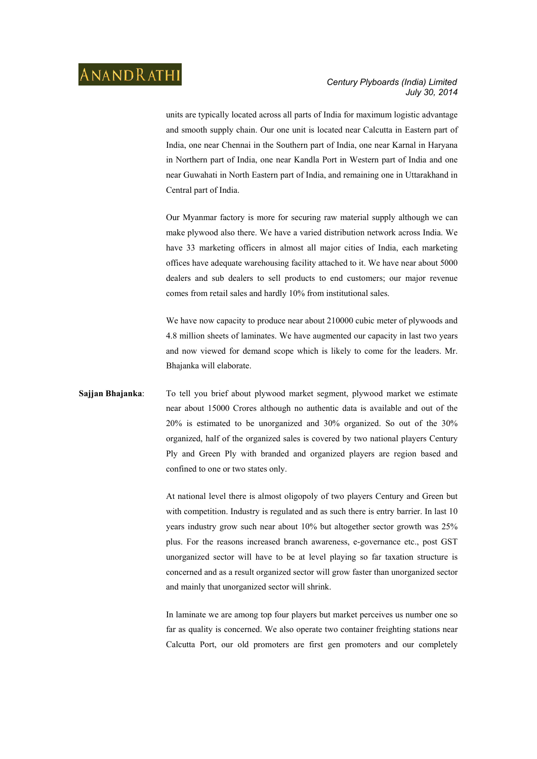units are typically located across all parts of India for maximum logistic advantage and smooth supply chain. Our one unit is located near Calcutta in Eastern part of India, one near Chennai in the Southern part of India, one near Karnal in Haryana in Northern part of India, one near Kandla Port in Western part of India and one near Guwahati in North Eastern part of India, and remaining one in Uttarakhand in Central part of India.

 Our Myanmar factory is more for securing raw material supply although we can make plywood also there. We have a varied distribution network across India. We have 33 marketing officers in almost all major cities of India, each marketing offices have adequate warehousing facility attached to it. We have near about 5000 dealers and sub dealers to sell products to end customers; our major revenue comes from retail sales and hardly 10% from institutional sales.

 We have now capacity to produce near about 210000 cubic meter of plywoods and 4.8 million sheets of laminates. We have augmented our capacity in last two years and now viewed for demand scope which is likely to come for the leaders. Mr. Bhajanka will elaborate.

### **Sajjan Bhajanka**: To tell you brief about plywood market segment, plywood market we estimate near about 15000 Crores although no authentic data is available and out of the 20% is estimated to be unorganized and 30% organized. So out of the 30% organized, half of the organized sales is covered by two national players Century Ply and Green Ply with branded and organized players are region based and confined to one or two states only.

At national level there is almost oligopoly of two players Century and Green but with competition. Industry is regulated and as such there is entry barrier. In last 10 years industry grow such near about 10% but altogether sector growth was 25% plus. For the reasons increased branch awareness, e-governance etc., post GST unorganized sector will have to be at level playing so far taxation structure is concerned and as a result organized sector will grow faster than unorganized sector and mainly that unorganized sector will shrink.

 In laminate we are among top four players but market perceives us number one so far as quality is concerned. We also operate two container freighting stations near Calcutta Port, our old promoters are first gen promoters and our completely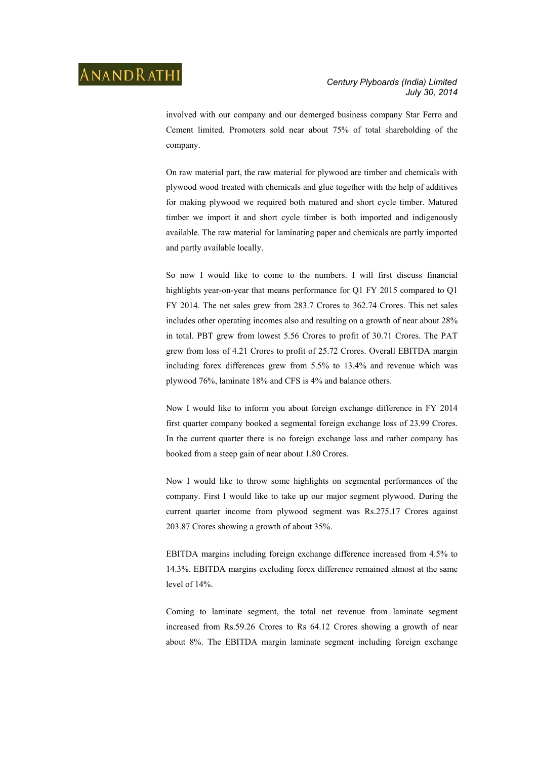involved with our company and our demerged business company Star Ferro and Cement limited. Promoters sold near about 75% of total shareholding of the company.

 On raw material part, the raw material for plywood are timber and chemicals with plywood wood treated with chemicals and glue together with the help of additives for making plywood we required both matured and short cycle timber. Matured timber we import it and short cycle timber is both imported and indigenously available. The raw material for laminating paper and chemicals are partly imported and partly available locally.

 So now I would like to come to the numbers. I will first discuss financial highlights year-on-year that means performance for Q1 FY 2015 compared to Q1 FY 2014. The net sales grew from 283.7 Crores to 362.74 Crores. This net sales includes other operating incomes also and resulting on a growth of near about 28% in total. PBT grew from lowest 5.56 Crores to profit of 30.71 Crores. The PAT grew from loss of 4.21 Crores to profit of 25.72 Crores. Overall EBITDA margin including forex differences grew from 5.5% to 13.4% and revenue which was plywood 76%, laminate 18% and CFS is 4% and balance others.

 Now I would like to inform you about foreign exchange difference in FY 2014 first quarter company booked a segmental foreign exchange loss of 23.99 Crores. In the current quarter there is no foreign exchange loss and rather company has booked from a steep gain of near about 1.80 Crores.

 Now I would like to throw some highlights on segmental performances of the company. First I would like to take up our major segment plywood. During the current quarter income from plywood segment was Rs.275.17 Crores against 203.87 Crores showing a growth of about 35%.

 EBITDA margins including foreign exchange difference increased from 4.5% to 14.3%. EBITDA margins excluding forex difference remained almost at the same level of 14%.

 Coming to laminate segment, the total net revenue from laminate segment increased from Rs.59.26 Crores to Rs 64.12 Crores showing a growth of near about 8%. The EBITDA margin laminate segment including foreign exchange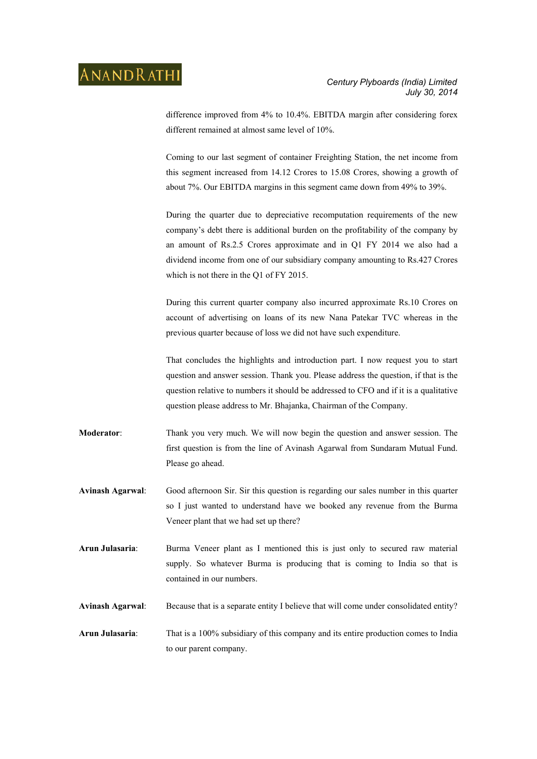difference improved from 4% to 10.4%. EBITDA margin after considering forex different remained at almost same level of 10%.

 Coming to our last segment of container Freighting Station, the net income from this segment increased from 14.12 Crores to 15.08 Crores, showing a growth of about 7%. Our EBITDA margins in this segment came down from 49% to 39%.

 During the quarter due to depreciative recomputation requirements of the new company's debt there is additional burden on the profitability of the company by an amount of Rs.2.5 Crores approximate and in Q1 FY 2014 we also had a dividend income from one of our subsidiary company amounting to Rs.427 Crores which is not there in the Q1 of FY 2015.

 During this current quarter company also incurred approximate Rs.10 Crores on account of advertising on loans of its new Nana Patekar TVC whereas in the previous quarter because of loss we did not have such expenditure.

 That concludes the highlights and introduction part. I now request you to start question and answer session. Thank you. Please address the question, if that is the question relative to numbers it should be addressed to CFO and if it is a qualitative question please address to Mr. Bhajanka, Chairman of the Company.

- **Moderator**: Thank you very much. We will now begin the question and answer session. The first question is from the line of Avinash Agarwal from Sundaram Mutual Fund. Please go ahead.
- **Avinash Agarwal**: Good afternoon Sir. Sir this question is regarding our sales number in this quarter so I just wanted to understand have we booked any revenue from the Burma Veneer plant that we had set up there?
- **Arun Julasaria**: Burma Veneer plant as I mentioned this is just only to secured raw material supply. So whatever Burma is producing that is coming to India so that is contained in our numbers.

**Avinash Agarwal**: Because that is a separate entity I believe that will come under consolidated entity?

**Arun Julasaria**: That is a 100% subsidiary of this company and its entire production comes to India to our parent company.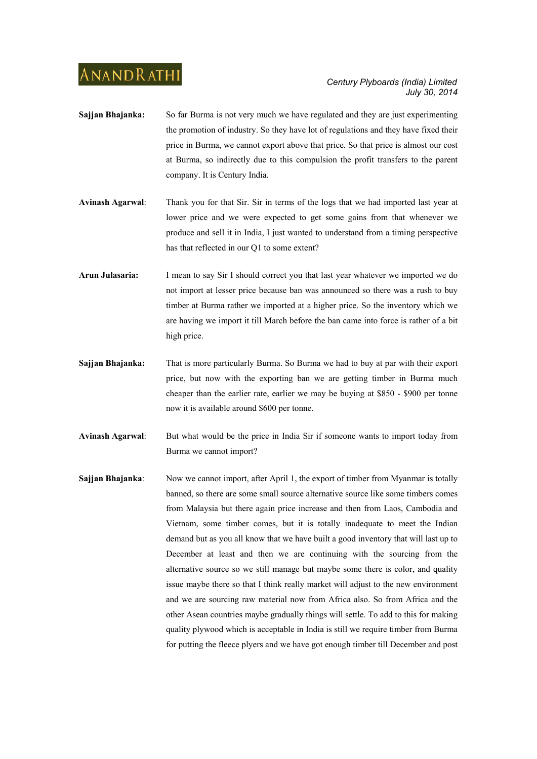- **Sajjan Bhajanka:** So far Burma is not very much we have regulated and they are just experimenting the promotion of industry. So they have lot of regulations and they have fixed their price in Burma, we cannot export above that price. So that price is almost our cost at Burma, so indirectly due to this compulsion the profit transfers to the parent company. It is Century India.
- **Avinash Agarwal**: Thank you for that Sir. Sir in terms of the logs that we had imported last year at lower price and we were expected to get some gains from that whenever we produce and sell it in India, I just wanted to understand from a timing perspective has that reflected in our Q1 to some extent?
- **Arun Julasaria:** I mean to say Sir I should correct you that last year whatever we imported we do not import at lesser price because ban was announced so there was a rush to buy timber at Burma rather we imported at a higher price. So the inventory which we are having we import it till March before the ban came into force is rather of a bit high price.
- **Sajjan Bhajanka:** That is more particularly Burma. So Burma we had to buy at par with their export price, but now with the exporting ban we are getting timber in Burma much cheaper than the earlier rate, earlier we may be buying at \$850 - \$900 per tonne now it is available around \$600 per tonne.
- **Avinash Agarwal**: But what would be the price in India Sir if someone wants to import today from Burma we cannot import?
- **Sajjan Bhajanka**: Now we cannot import, after April 1, the export of timber from Myanmar is totally banned, so there are some small source alternative source like some timbers comes from Malaysia but there again price increase and then from Laos, Cambodia and Vietnam, some timber comes, but it is totally inadequate to meet the Indian demand but as you all know that we have built a good inventory that will last up to December at least and then we are continuing with the sourcing from the alternative source so we still manage but maybe some there is color, and quality issue maybe there so that I think really market will adjust to the new environment and we are sourcing raw material now from Africa also. So from Africa and the other Asean countries maybe gradually things will settle. To add to this for making quality plywood which is acceptable in India is still we require timber from Burma for putting the fleece plyers and we have got enough timber till December and post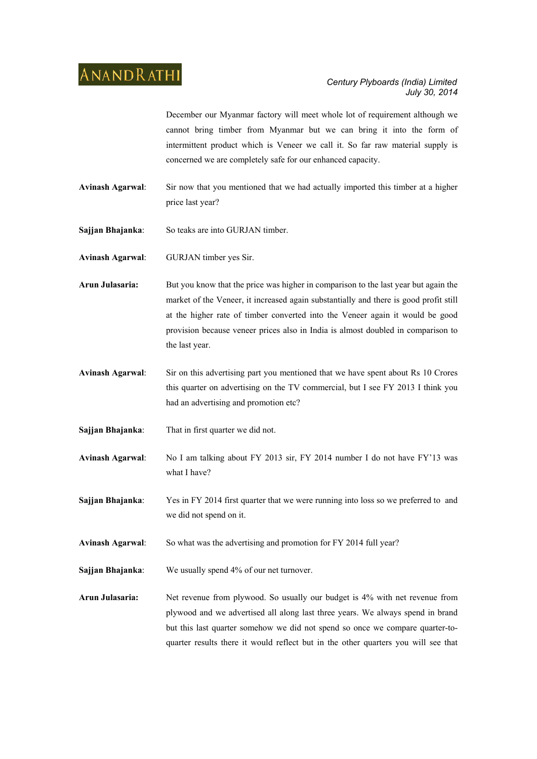December our Myanmar factory will meet whole lot of requirement although we cannot bring timber from Myanmar but we can bring it into the form of intermittent product which is Veneer we call it. So far raw material supply is concerned we are completely safe for our enhanced capacity.

- **Avinash Agarwal**: Sir now that you mentioned that we had actually imported this timber at a higher price last year?
- **Sajjan Bhajanka**: So teaks are into GURJAN timber.
- **Avinash Agarwal**: GURJAN timber yes Sir.
- **Arun Julasaria:** But you know that the price was higher in comparison to the last year but again the market of the Veneer, it increased again substantially and there is good profit still at the higher rate of timber converted into the Veneer again it would be good provision because veneer prices also in India is almost doubled in comparison to the last year.
- **Avinash Agarwal**: Sir on this advertising part you mentioned that we have spent about Rs 10 Crores this quarter on advertising on the TV commercial, but I see FY 2013 I think you had an advertising and promotion etc?
- **Sajjan Bhajanka**: That in first quarter we did not.
- **Avinash Agarwal**: No I am talking about FY 2013 sir, FY 2014 number I do not have FY'13 was what I have?
- **Sajjan Bhajanka:** Yes in FY 2014 first quarter that we were running into loss so we preferred to and we did not spend on it.
- **Avinash Agarwal**: So what was the advertising and promotion for FY 2014 full year?
- **Sajjan Bhajanka**: We usually spend 4% of our net turnover.
- **Arun Julasaria:** Net revenue from plywood. So usually our budget is 4% with net revenue from plywood and we advertised all along last three years. We always spend in brand but this last quarter somehow we did not spend so once we compare quarter-toquarter results there it would reflect but in the other quarters you will see that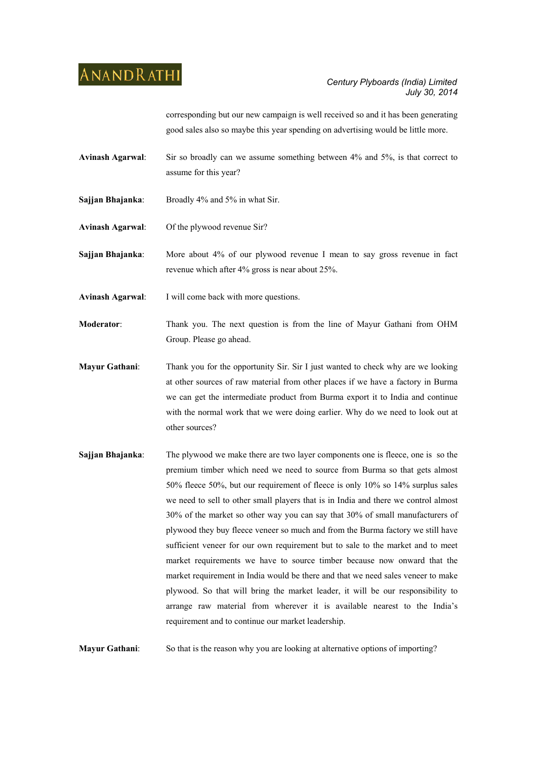corresponding but our new campaign is well received so and it has been generating good sales also so maybe this year spending on advertising would be little more.

**Avinash Agarwal**: Sir so broadly can we assume something between 4% and 5%, is that correct to assume for this year?

- **Sajjan Bhajanka**: Broadly 4% and 5% in what Sir.
- **Avinash Agarwal**: Of the plywood revenue Sir?
- **Sajjan Bhajanka**: More about 4% of our plywood revenue I mean to say gross revenue in fact revenue which after 4% gross is near about 25%.
- **Avinash Agarwal**: I will come back with more questions.
- **Moderator**: Thank you. The next question is from the line of Mayur Gathani from OHM Group. Please go ahead.
- **Mayur Gathani**: Thank you for the opportunity Sir. Sir I just wanted to check why are we looking at other sources of raw material from other places if we have a factory in Burma we can get the intermediate product from Burma export it to India and continue with the normal work that we were doing earlier. Why do we need to look out at other sources?
- **Sajjan Bhajanka:** The plywood we make there are two layer components one is fleece, one is so the premium timber which need we need to source from Burma so that gets almost 50% fleece 50%, but our requirement of fleece is only 10% so 14% surplus sales we need to sell to other small players that is in India and there we control almost 30% of the market so other way you can say that 30% of small manufacturers of plywood they buy fleece veneer so much and from the Burma factory we still have sufficient veneer for our own requirement but to sale to the market and to meet market requirements we have to source timber because now onward that the market requirement in India would be there and that we need sales veneer to make plywood. So that will bring the market leader, it will be our responsibility to arrange raw material from wherever it is available nearest to the India's requirement and to continue our market leadership.

**Mayur Gathani**: So that is the reason why you are looking at alternative options of importing?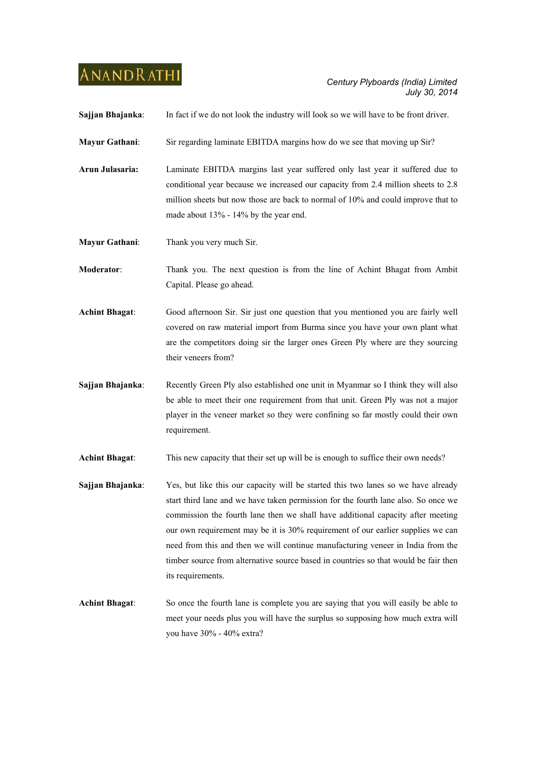| Sajjan Bhajanka:      | In fact if we do not look the industry will look so we will have to be front driver.                                                                                                                                                                                                                                                                                                                                                                                                                                                         |
|-----------------------|----------------------------------------------------------------------------------------------------------------------------------------------------------------------------------------------------------------------------------------------------------------------------------------------------------------------------------------------------------------------------------------------------------------------------------------------------------------------------------------------------------------------------------------------|
| Mayur Gathani:        | Sir regarding laminate EBITDA margins how do we see that moving up Sir?                                                                                                                                                                                                                                                                                                                                                                                                                                                                      |
| Arun Julasaria:       | Laminate EBITDA margins last year suffered only last year it suffered due to<br>conditional year because we increased our capacity from 2.4 million sheets to 2.8<br>million sheets but now those are back to normal of 10% and could improve that to<br>made about 13% - 14% by the year end.                                                                                                                                                                                                                                               |
| Mayur Gathani:        | Thank you very much Sir.                                                                                                                                                                                                                                                                                                                                                                                                                                                                                                                     |
| Moderator:            | Thank you. The next question is from the line of Achint Bhagat from Ambit<br>Capital. Please go ahead.                                                                                                                                                                                                                                                                                                                                                                                                                                       |
| <b>Achint Bhagat:</b> | Good afternoon Sir. Sir just one question that you mentioned you are fairly well<br>covered on raw material import from Burma since you have your own plant what<br>are the competitors doing sir the larger ones Green Ply where are they sourcing<br>their veneers from?                                                                                                                                                                                                                                                                   |
| Sajjan Bhajanka:      | Recently Green Ply also established one unit in Myanmar so I think they will also<br>be able to meet their one requirement from that unit. Green Ply was not a major<br>player in the veneer market so they were confining so far mostly could their own<br>requirement.                                                                                                                                                                                                                                                                     |
| <b>Achint Bhagat:</b> | This new capacity that their set up will be is enough to suffice their own needs?                                                                                                                                                                                                                                                                                                                                                                                                                                                            |
| Sajjan Bhajanka:      | Yes, but like this our capacity will be started this two lanes so we have already<br>start third lane and we have taken permission for the fourth lane also. So once we<br>commission the fourth lane then we shall have additional capacity after meeting<br>our own requirement may be it is 30% requirement of our earlier supplies we can<br>need from this and then we will continue manufacturing veneer in India from the<br>timber source from alternative source based in countries so that would be fair then<br>its requirements. |
| <b>Achint Bhagat:</b> | So once the fourth lane is complete you are saying that you will easily be able to<br>meet your needs plus you will have the surplus so supposing how much extra will<br>you have 30% - 40% extra?                                                                                                                                                                                                                                                                                                                                           |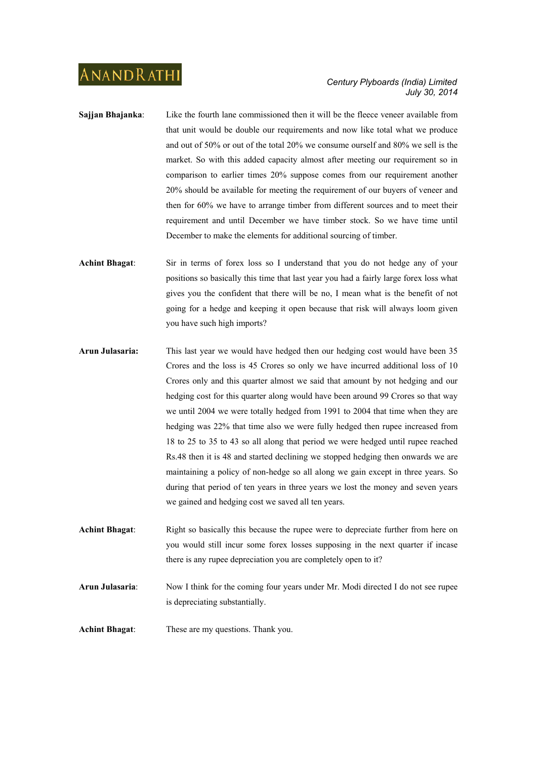- **Sajjan Bhajanka:** Like the fourth lane commissioned then it will be the fleece veneer available from that unit would be double our requirements and now like total what we produce and out of 50% or out of the total 20% we consume ourself and 80% we sell is the market. So with this added capacity almost after meeting our requirement so in comparison to earlier times 20% suppose comes from our requirement another 20% should be available for meeting the requirement of our buyers of veneer and then for 60% we have to arrange timber from different sources and to meet their requirement and until December we have timber stock. So we have time until December to make the elements for additional sourcing of timber.
- **Achint Bhagat**: Sir in terms of forex loss so I understand that you do not hedge any of your positions so basically this time that last year you had a fairly large forex loss what gives you the confident that there will be no, I mean what is the benefit of not going for a hedge and keeping it open because that risk will always loom given you have such high imports?
- **Arun Julasaria:** This last year we would have hedged then our hedging cost would have been 35 Crores and the loss is 45 Crores so only we have incurred additional loss of 10 Crores only and this quarter almost we said that amount by not hedging and our hedging cost for this quarter along would have been around 99 Crores so that way we until 2004 we were totally hedged from 1991 to 2004 that time when they are hedging was 22% that time also we were fully hedged then rupee increased from 18 to 25 to 35 to 43 so all along that period we were hedged until rupee reached Rs.48 then it is 48 and started declining we stopped hedging then onwards we are maintaining a policy of non-hedge so all along we gain except in three years. So during that period of ten years in three years we lost the money and seven years we gained and hedging cost we saved all ten years.
- Achint Bhagat: Right so basically this because the rupee were to depreciate further from here on you would still incur some forex losses supposing in the next quarter if incase there is any rupee depreciation you are completely open to it?
- **Arun Julasaria**: Now I think for the coming four years under Mr. Modi directed I do not see rupee is depreciating substantially.
- **Achint Bhagat**: These are my questions. Thank you.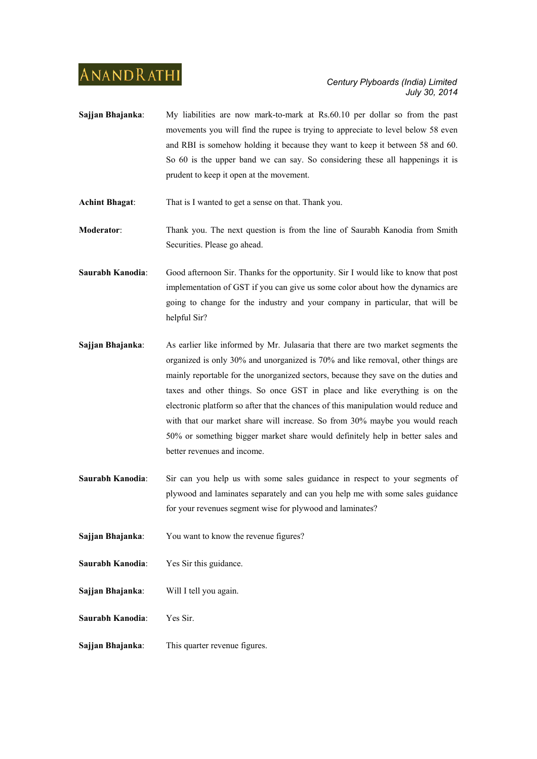**Sajjan Bhajanka**: My liabilities are now mark-to-mark at Rs.60.10 per dollar so from the past movements you will find the rupee is trying to appreciate to level below 58 even and RBI is somehow holding it because they want to keep it between 58 and 60. So 60 is the upper band we can say. So considering these all happenings it is prudent to keep it open at the movement.

**Achint Bhagat**: That is I wanted to get a sense on that. Thank you.

- **Moderator**: Thank you. The next question is from the line of Saurabh Kanodia from Smith Securities. Please go ahead.
- **Saurabh Kanodia**: Good afternoon Sir. Thanks for the opportunity. Sir I would like to know that post implementation of GST if you can give us some color about how the dynamics are going to change for the industry and your company in particular, that will be helpful Sir?
- **Sajjan Bhajanka**: As earlier like informed by Mr. Julasaria that there are two market segments the organized is only 30% and unorganized is 70% and like removal, other things are mainly reportable for the unorganized sectors, because they save on the duties and taxes and other things. So once GST in place and like everything is on the electronic platform so after that the chances of this manipulation would reduce and with that our market share will increase. So from 30% maybe you would reach 50% or something bigger market share would definitely help in better sales and better revenues and income.
- **Saurabh Kanodia:** Sir can you help us with some sales guidance in respect to your segments of plywood and laminates separately and can you help me with some sales guidance for your revenues segment wise for plywood and laminates?
- **Sajjan Bhajanka**: You want to know the revenue figures?
- **Saurabh Kanodia**: Yes Sir this guidance.
- **Sajjan Bhajanka**: Will I tell you again.
- **Saurabh Kanodia**: Yes Sir.
- **Sajjan Bhajanka**: This quarter revenue figures.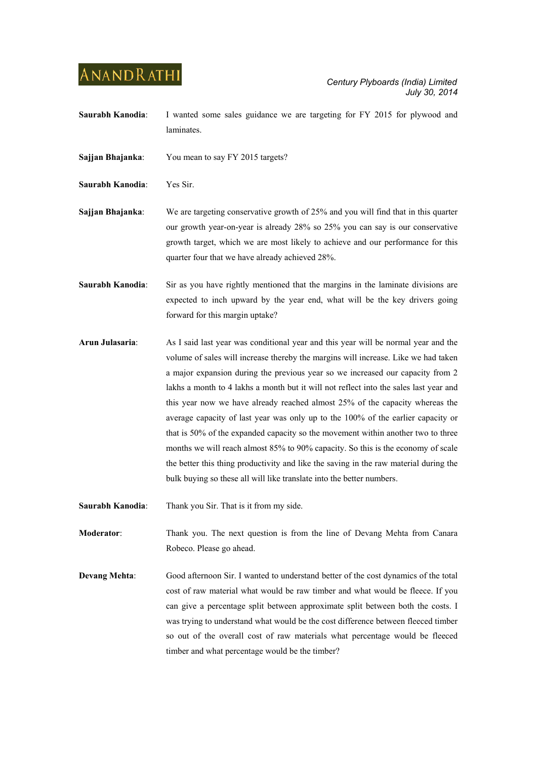**Saurabh Kanodia**: I wanted some sales guidance we are targeting for FY 2015 for plywood and laminates.

**Sajjan Bhajanka**: You mean to say FY 2015 targets?

**Saurabh Kanodia**: Yes Sir.

**Sajjan Bhajanka**: We are targeting conservative growth of 25% and you will find that in this quarter our growth year-on-year is already 28% so 25% you can say is our conservative growth target, which we are most likely to achieve and our performance for this quarter four that we have already achieved 28%.

**Saurabh Kanodia:** Sir as you have rightly mentioned that the margins in the laminate divisions are expected to inch upward by the year end, what will be the key drivers going forward for this margin uptake?

**Arun Julasaria**: As I said last year was conditional year and this year will be normal year and the volume of sales will increase thereby the margins will increase. Like we had taken a major expansion during the previous year so we increased our capacity from 2 lakhs a month to 4 lakhs a month but it will not reflect into the sales last year and this year now we have already reached almost 25% of the capacity whereas the average capacity of last year was only up to the 100% of the earlier capacity or that is 50% of the expanded capacity so the movement within another two to three months we will reach almost 85% to 90% capacity. So this is the economy of scale the better this thing productivity and like the saving in the raw material during the bulk buying so these all will like translate into the better numbers.

**Saurabh Kanodia**: Thank you Sir. That is it from my side.

**Moderator:** Thank you. The next question is from the line of Devang Mehta from Canara Robeco. Please go ahead.

**Devang Mehta:** Good afternoon Sir. I wanted to understand better of the cost dynamics of the total cost of raw material what would be raw timber and what would be fleece. If you can give a percentage split between approximate split between both the costs. I was trying to understand what would be the cost difference between fleeced timber so out of the overall cost of raw materials what percentage would be fleeced timber and what percentage would be the timber?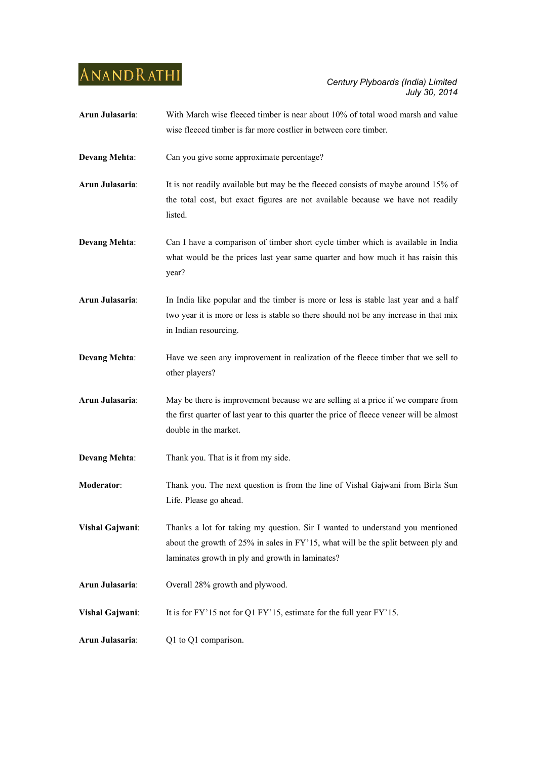| Arun Julasaria:      | With March wise fleeced timber is near about 10% of total wood marsh and value           |
|----------------------|------------------------------------------------------------------------------------------|
|                      | wise fleeced timber is far more costlier in between core timber.                         |
|                      |                                                                                          |
| <b>Devang Mehta:</b> | Can you give some approximate percentage?                                                |
|                      |                                                                                          |
| Arun Julasaria:      | It is not readily available but may be the fleeced consists of maybe around 15% of       |
|                      | the total cost, but exact figures are not available because we have not readily          |
|                      | listed.                                                                                  |
|                      |                                                                                          |
| <b>Devang Mehta:</b> | Can I have a comparison of timber short cycle timber which is available in India         |
|                      | what would be the prices last year same quarter and how much it has raisin this          |
|                      | year?                                                                                    |
| Arun Julasaria:      | In India like popular and the timber is more or less is stable last year and a half      |
|                      | two year it is more or less is stable so there should not be any increase in that mix    |
|                      | in Indian resourcing.                                                                    |
|                      |                                                                                          |
| <b>Devang Mehta:</b> | Have we seen any improvement in realization of the fleece timber that we sell to         |
|                      | other players?                                                                           |
| Arun Julasaria:      | May be there is improvement because we are selling at a price if we compare from         |
|                      | the first quarter of last year to this quarter the price of fleece veneer will be almost |
|                      | double in the market.                                                                    |
|                      |                                                                                          |
| <b>Devang Mehta:</b> | Thank you. That is it from my side.                                                      |
|                      |                                                                                          |
| Moderator:           | Thank you. The next question is from the line of Vishal Gajwani from Birla Sun           |
|                      | Life. Please go ahead.                                                                   |
| Vishal Gajwani:      | Thanks a lot for taking my question. Sir I wanted to understand you mentioned            |
|                      | about the growth of 25% in sales in FY'15, what will be the split between ply and        |
|                      | laminates growth in ply and growth in laminates?                                         |
|                      |                                                                                          |
| Arun Julasaria:      | Overall 28% growth and plywood.                                                          |
|                      |                                                                                          |
| Vishal Gajwani:      | It is for FY'15 not for Q1 FY'15, estimate for the full year FY'15.                      |
|                      |                                                                                          |
| Arun Julasaria:      | Q1 to Q1 comparison.                                                                     |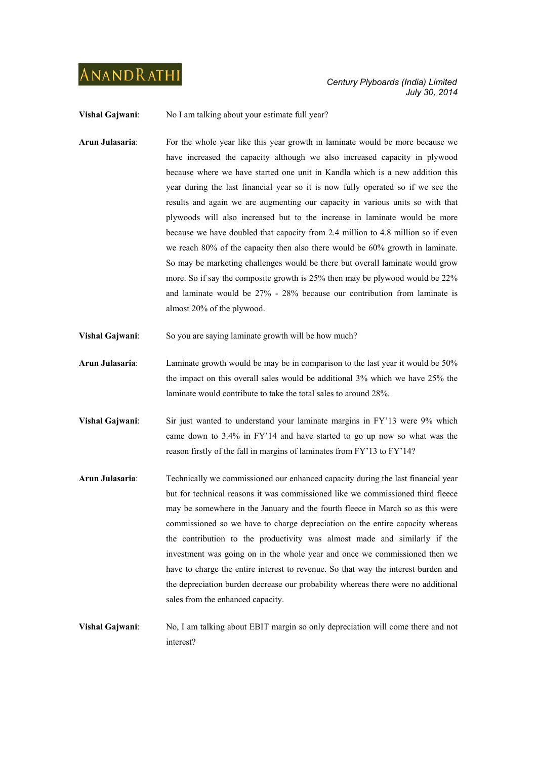**Vishal Gajwani:** No I am talking about your estimate full year?

- **Arun Julasaria**: For the whole year like this year growth in laminate would be more because we have increased the capacity although we also increased capacity in plywood because where we have started one unit in Kandla which is a new addition this year during the last financial year so it is now fully operated so if we see the results and again we are augmenting our capacity in various units so with that plywoods will also increased but to the increase in laminate would be more because we have doubled that capacity from 2.4 million to 4.8 million so if even we reach 80% of the capacity then also there would be 60% growth in laminate. So may be marketing challenges would be there but overall laminate would grow more. So if say the composite growth is 25% then may be plywood would be 22% and laminate would be 27% - 28% because our contribution from laminate is almost 20% of the plywood.
- **Vishal Gajwani:** So you are saying laminate growth will be how much?
- **Arun Julasaria**: Laminate growth would be may be in comparison to the last year it would be 50% the impact on this overall sales would be additional 3% which we have 25% the laminate would contribute to take the total sales to around 28%.
- **Vishal Gajwani**: Sir just wanted to understand your laminate margins in FY'13 were 9% which came down to 3.4% in FY'14 and have started to go up now so what was the reason firstly of the fall in margins of laminates from FY'13 to FY'14?
- **Arun Julasaria**: Technically we commissioned our enhanced capacity during the last financial year but for technical reasons it was commissioned like we commissioned third fleece may be somewhere in the January and the fourth fleece in March so as this were commissioned so we have to charge depreciation on the entire capacity whereas the contribution to the productivity was almost made and similarly if the investment was going on in the whole year and once we commissioned then we have to charge the entire interest to revenue. So that way the interest burden and the depreciation burden decrease our probability whereas there were no additional sales from the enhanced capacity.
- **Vishal Gajwani**: No, I am talking about EBIT margin so only depreciation will come there and not interest?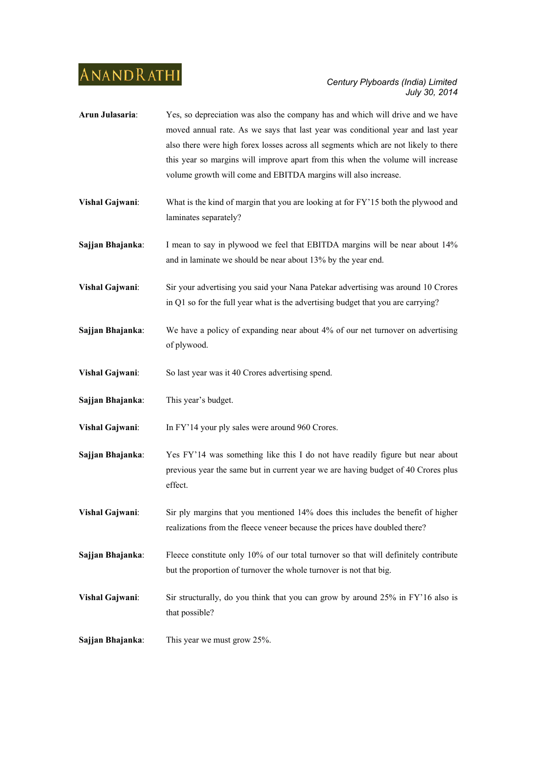- **Arun Julasaria**: Yes, so depreciation was also the company has and which will drive and we have moved annual rate. As we says that last year was conditional year and last year also there were high forex losses across all segments which are not likely to there this year so margins will improve apart from this when the volume will increase volume growth will come and EBITDA margins will also increase.
- **Vishal Gajwani**: What is the kind of margin that you are looking at for FY'15 both the plywood and laminates separately?
- **Sajjan Bhajanka**: I mean to say in plywood we feel that EBITDA margins will be near about 14% and in laminate we should be near about 13% by the year end.
- **Vishal Gajwani**: Sir your advertising you said your Nana Patekar advertising was around 10 Crores in Q1 so for the full year what is the advertising budget that you are carrying?
- **Sajjan Bhajanka:** We have a policy of expanding near about 4% of our net turnover on advertising of plywood.
- **Vishal Gajwani**: So last year was it 40 Crores advertising spend.
- **Sajjan Bhajanka**: This year's budget.

**Vishal Gajwani**: In FY'14 your ply sales were around 960 Crores.

- **Sajjan Bhajanka:** Yes FY'14 was something like this I do not have readily figure but near about previous year the same but in current year we are having budget of 40 Crores plus effect.
- **Vishal Gajwani**: Sir ply margins that you mentioned 14% does this includes the benefit of higher realizations from the fleece veneer because the prices have doubled there?
- **Sajjan Bhajanka:** Fleece constitute only 10% of our total turnover so that will definitely contribute but the proportion of turnover the whole turnover is not that big.
- **Vishal Gajwani:** Sir structurally, do you think that you can grow by around 25% in FY'16 also is that possible?

**Sajjan Bhajanka**: This year we must grow 25%.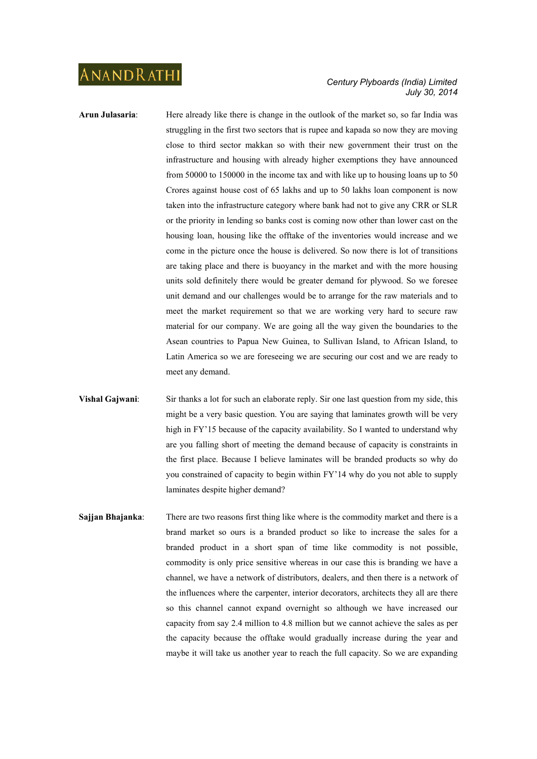- **Arun Julasaria:** Here already like there is change in the outlook of the market so, so far India was struggling in the first two sectors that is rupee and kapada so now they are moving close to third sector makkan so with their new government their trust on the infrastructure and housing with already higher exemptions they have announced from 50000 to 150000 in the income tax and with like up to housing loans up to 50 Crores against house cost of 65 lakhs and up to 50 lakhs loan component is now taken into the infrastructure category where bank had not to give any CRR or SLR or the priority in lending so banks cost is coming now other than lower cast on the housing loan, housing like the offtake of the inventories would increase and we come in the picture once the house is delivered. So now there is lot of transitions are taking place and there is buoyancy in the market and with the more housing units sold definitely there would be greater demand for plywood. So we foresee unit demand and our challenges would be to arrange for the raw materials and to meet the market requirement so that we are working very hard to secure raw material for our company. We are going all the way given the boundaries to the Asean countries to Papua New Guinea, to Sullivan Island, to African Island, to Latin America so we are foreseeing we are securing our cost and we are ready to meet any demand.
- **Vishal Gajwani**: Sir thanks a lot for such an elaborate reply. Sir one last question from my side, this might be a very basic question. You are saying that laminates growth will be very high in FY'15 because of the capacity availability. So I wanted to understand why are you falling short of meeting the demand because of capacity is constraints in the first place. Because I believe laminates will be branded products so why do you constrained of capacity to begin within FY'14 why do you not able to supply laminates despite higher demand?
- **Sajjan Bhajanka**: There are two reasons first thing like where is the commodity market and there is a brand market so ours is a branded product so like to increase the sales for a branded product in a short span of time like commodity is not possible, commodity is only price sensitive whereas in our case this is branding we have a channel, we have a network of distributors, dealers, and then there is a network of the influences where the carpenter, interior decorators, architects they all are there so this channel cannot expand overnight so although we have increased our capacity from say 2.4 million to 4.8 million but we cannot achieve the sales as per the capacity because the offtake would gradually increase during the year and maybe it will take us another year to reach the full capacity. So we are expanding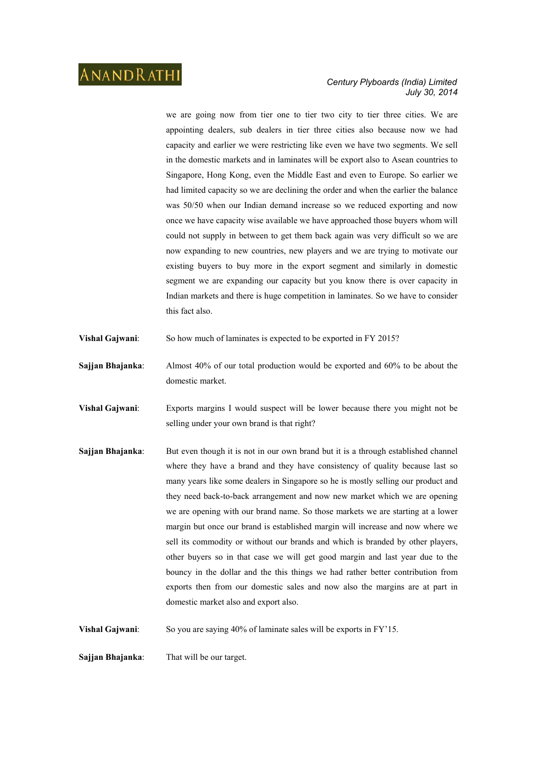### *Century Plyboards (India) Limited July 30, 2014*

we are going now from tier one to tier two city to tier three cities. We are appointing dealers, sub dealers in tier three cities also because now we had capacity and earlier we were restricting like even we have two segments. We sell in the domestic markets and in laminates will be export also to Asean countries to Singapore, Hong Kong, even the Middle East and even to Europe. So earlier we had limited capacity so we are declining the order and when the earlier the balance was 50/50 when our Indian demand increase so we reduced exporting and now once we have capacity wise available we have approached those buyers whom will could not supply in between to get them back again was very difficult so we are now expanding to new countries, new players and we are trying to motivate our existing buyers to buy more in the export segment and similarly in domestic segment we are expanding our capacity but you know there is over capacity in Indian markets and there is huge competition in laminates. So we have to consider this fact also.

- **Vishal Gajwani:** So how much of laminates is expected to be exported in FY 2015?
- **Sajjan Bhajanka**: Almost 40% of our total production would be exported and 60% to be about the domestic market.
- **Vishal Gajwani**: Exports margins I would suspect will be lower because there you might not be selling under your own brand is that right?
- **Sajjan Bhajanka**: But even though it is not in our own brand but it is a through established channel where they have a brand and they have consistency of quality because last so many years like some dealers in Singapore so he is mostly selling our product and they need back-to-back arrangement and now new market which we are opening we are opening with our brand name. So those markets we are starting at a lower margin but once our brand is established margin will increase and now where we sell its commodity or without our brands and which is branded by other players, other buyers so in that case we will get good margin and last year due to the bouncy in the dollar and the this things we had rather better contribution from exports then from our domestic sales and now also the margins are at part in domestic market also and export also.

**Vishal Gajwani:** So you are saying 40% of laminate sales will be exports in FY'15.

**Sajjan Bhajanka**: That will be our target.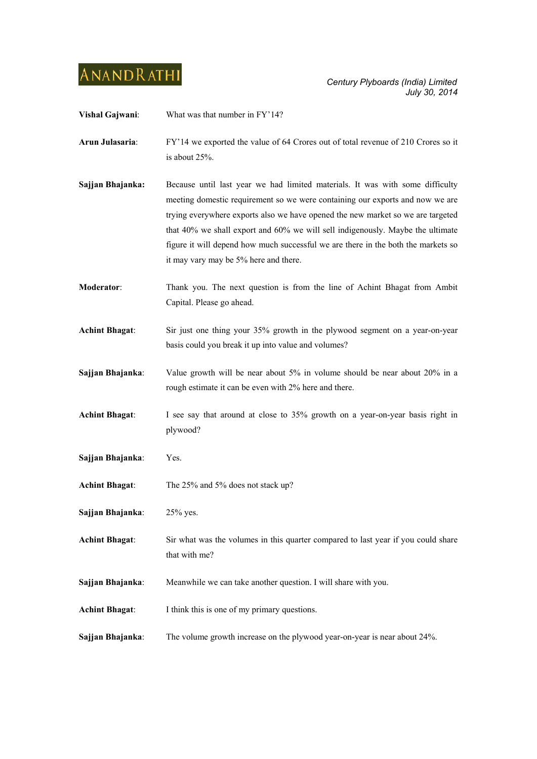**Vishal Gajwani:** What was that number in FY'14?

**Arun Julasaria**: FY'14 we exported the value of 64 Crores out of total revenue of 210 Crores so it is about 25%.

- **Sajian Bhajanka:** Because until last year we had limited materials. It was with some difficulty meeting domestic requirement so we were containing our exports and now we are trying everywhere exports also we have opened the new market so we are targeted that 40% we shall export and 60% we will sell indigenously. Maybe the ultimate figure it will depend how much successful we are there in the both the markets so it may vary may be 5% here and there.
- **Moderator**: Thank you. The next question is from the line of Achint Bhagat from Ambit Capital. Please go ahead.
- **Achint Bhagat**: Sir just one thing your 35% growth in the plywood segment on a year-on-year basis could you break it up into value and volumes?
- **Sajjan Bhajanka**: Value growth will be near about 5% in volume should be near about 20% in a rough estimate it can be even with 2% here and there.
- **Achint Bhagat**: I see say that around at close to 35% growth on a year-on-year basis right in plywood?
- **Sajjan Bhajanka**: Yes.
- **Achint Bhagat**: The 25% and 5% does not stack up?
- **Sajjan Bhajanka**: 25% yes.
- **Achint Bhagat**: Sir what was the volumes in this quarter compared to last year if you could share that with me?
- **Sajjan Bhajanka:** Meanwhile we can take another question. I will share with you.
- Achint Bhagat: I think this is one of my primary questions.
- **Sajjan Bhajanka:** The volume growth increase on the plywood year-on-year is near about 24%.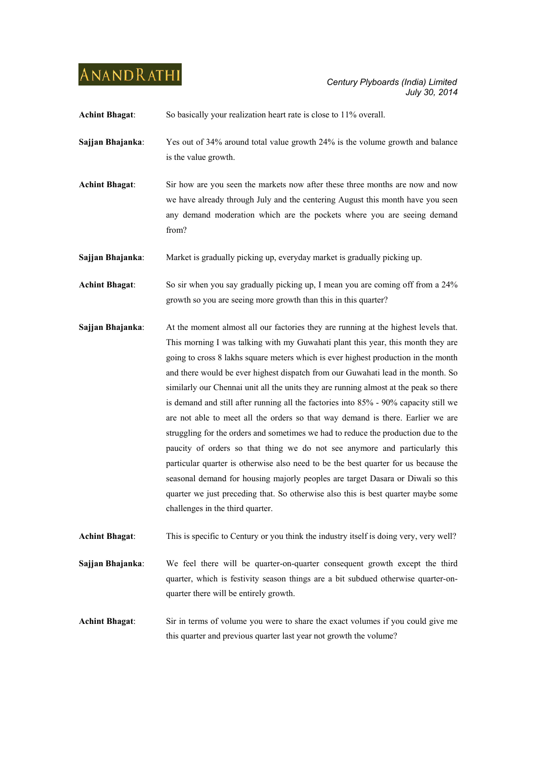**Achint Bhagat**: So basically your realization heart rate is close to 11% overall.

- **Sajjan Bhajanka**: Yes out of 34% around total value growth 24% is the volume growth and balance is the value growth.
- **Achint Bhagat**: Sir how are you seen the markets now after these three months are now and now we have already through July and the centering August this month have you seen any demand moderation which are the pockets where you are seeing demand from?

**Sajjan Bhajanka**: Market is gradually picking up, everyday market is gradually picking up.

**Achint Bhagat**: So sir when you say gradually picking up, I mean you are coming off from a 24% growth so you are seeing more growth than this in this quarter?

**Sajjan Bhajanka:** At the moment almost all our factories they are running at the highest levels that. This morning I was talking with my Guwahati plant this year, this month they are going to cross 8 lakhs square meters which is ever highest production in the month and there would be ever highest dispatch from our Guwahati lead in the month. So similarly our Chennai unit all the units they are running almost at the peak so there is demand and still after running all the factories into 85% - 90% capacity still we are not able to meet all the orders so that way demand is there. Earlier we are struggling for the orders and sometimes we had to reduce the production due to the paucity of orders so that thing we do not see anymore and particularly this particular quarter is otherwise also need to be the best quarter for us because the seasonal demand for housing majorly peoples are target Dasara or Diwali so this quarter we just preceding that. So otherwise also this is best quarter maybe some challenges in the third quarter.

**Achint Bhagat**: This is specific to Century or you think the industry itself is doing very, very well?

**Sajjan Bhajanka:** We feel there will be quarter-on-quarter consequent growth except the third quarter, which is festivity season things are a bit subdued otherwise quarter-onquarter there will be entirely growth.

**Achint Bhagat**: Sir in terms of volume you were to share the exact volumes if you could give me this quarter and previous quarter last year not growth the volume?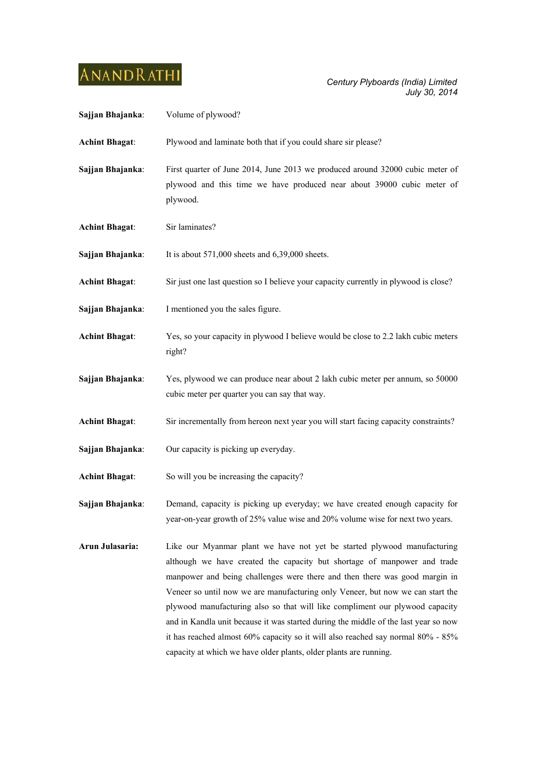| Sajjan Bhajanka:      | Volume of plywood?                                                                                                                                                                                                                                                                                                                                                                                                                                                                                                                                                                                                                                 |
|-----------------------|----------------------------------------------------------------------------------------------------------------------------------------------------------------------------------------------------------------------------------------------------------------------------------------------------------------------------------------------------------------------------------------------------------------------------------------------------------------------------------------------------------------------------------------------------------------------------------------------------------------------------------------------------|
| <b>Achint Bhagat:</b> | Plywood and laminate both that if you could share sir please?                                                                                                                                                                                                                                                                                                                                                                                                                                                                                                                                                                                      |
| Sajjan Bhajanka:      | First quarter of June 2014, June 2013 we produced around 32000 cubic meter of<br>plywood and this time we have produced near about 39000 cubic meter of<br>plywood.                                                                                                                                                                                                                                                                                                                                                                                                                                                                                |
| <b>Achint Bhagat:</b> | Sir laminates?                                                                                                                                                                                                                                                                                                                                                                                                                                                                                                                                                                                                                                     |
| Sajjan Bhajanka:      | It is about $571,000$ sheets and $6,39,000$ sheets.                                                                                                                                                                                                                                                                                                                                                                                                                                                                                                                                                                                                |
| <b>Achint Bhagat:</b> | Sir just one last question so I believe your capacity currently in plywood is close?                                                                                                                                                                                                                                                                                                                                                                                                                                                                                                                                                               |
| Sajjan Bhajanka:      | I mentioned you the sales figure.                                                                                                                                                                                                                                                                                                                                                                                                                                                                                                                                                                                                                  |
| <b>Achint Bhagat:</b> | Yes, so your capacity in plywood I believe would be close to 2.2 lakh cubic meters<br>right?                                                                                                                                                                                                                                                                                                                                                                                                                                                                                                                                                       |
| Sajjan Bhajanka:      | Yes, plywood we can produce near about 2 lakh cubic meter per annum, so 50000<br>cubic meter per quarter you can say that way.                                                                                                                                                                                                                                                                                                                                                                                                                                                                                                                     |
| <b>Achint Bhagat:</b> | Sir incrementally from hereon next year you will start facing capacity constraints?                                                                                                                                                                                                                                                                                                                                                                                                                                                                                                                                                                |
| Sajjan Bhajanka:      | Our capacity is picking up everyday.                                                                                                                                                                                                                                                                                                                                                                                                                                                                                                                                                                                                               |
| <b>Achint Bhagat:</b> | So will you be increasing the capacity?                                                                                                                                                                                                                                                                                                                                                                                                                                                                                                                                                                                                            |
| Sajjan Bhajanka:      | Demand, capacity is picking up everyday; we have created enough capacity for<br>year-on-year growth of 25% value wise and 20% volume wise for next two years.                                                                                                                                                                                                                                                                                                                                                                                                                                                                                      |
| Arun Julasaria:       | Like our Myanmar plant we have not yet be started plywood manufacturing<br>although we have created the capacity but shortage of manpower and trade<br>manpower and being challenges were there and then there was good margin in<br>Veneer so until now we are manufacturing only Veneer, but now we can start the<br>plywood manufacturing also so that will like compliment our plywood capacity<br>and in Kandla unit because it was started during the middle of the last year so now<br>it has reached almost 60% capacity so it will also reached say normal 80% - 85%<br>capacity at which we have older plants, older plants are running. |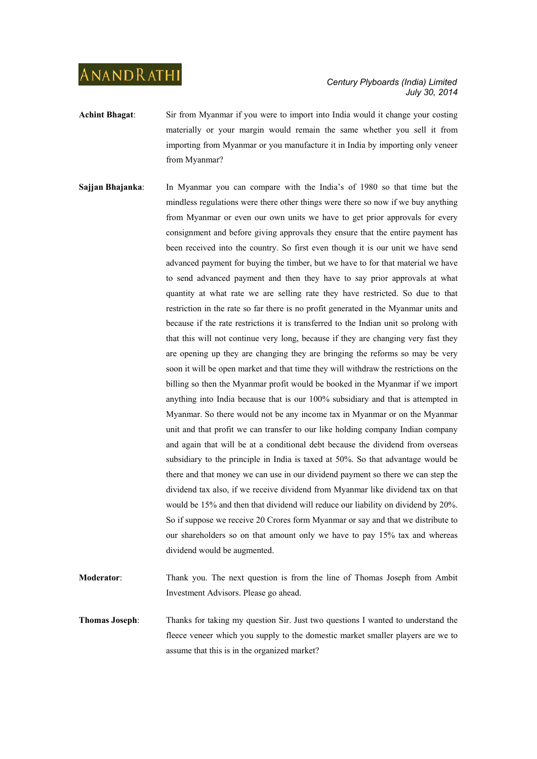- **Achint Bhagat**: Sir from Myanmar if you were to import into India would it change your costing materially or your margin would remain the same whether you sell it from importing from Myanmar or you manufacture it in India by importing only veneer from Myanmar?
- **Sajjan Bhajanka**: In Myanmar you can compare with the India's of 1980 so that time but the mindless regulations were there other things were there so now if we buy anything from Myanmar or even our own units we have to get prior approvals for every consignment and before giving approvals they ensure that the entire payment has been received into the country. So first even though it is our unit we have send advanced payment for buying the timber, but we have to for that material we have to send advanced payment and then they have to say prior approvals at what quantity at what rate we are selling rate they have restricted. So due to that restriction in the rate so far there is no profit generated in the Myanmar units and because if the rate restrictions it is transferred to the Indian unit so prolong with that this will not continue very long, because if they are changing very fast they are opening up they are changing they are bringing the reforms so may be very soon it will be open market and that time they will withdraw the restrictions on the billing so then the Myanmar profit would be booked in the Myanmar if we import anything into India because that is our 100% subsidiary and that is attempted in Myanmar. So there would not be any income tax in Myanmar or on the Myanmar unit and that profit we can transfer to our like holding company Indian company and again that will be at a conditional debt because the dividend from overseas subsidiary to the principle in India is taxed at 50%. So that advantage would be there and that money we can use in our dividend payment so there we can step the dividend tax also, if we receive dividend from Myanmar like dividend tax on that would be 15% and then that dividend will reduce our liability on dividend by 20%. So if suppose we receive 20 Crores form Myanmar or say and that we distribute to our shareholders so on that amount only we have to pay 15% tax and whereas dividend would be augmented.
- **Moderator**: Thank you. The next question is from the line of Thomas Joseph from Ambit Investment Advisors. Please go ahead.
- **Thomas Joseph:** Thanks for taking my question Sir. Just two questions I wanted to understand the fleece veneer which you supply to the domestic market smaller players are we to assume that this is in the organized market?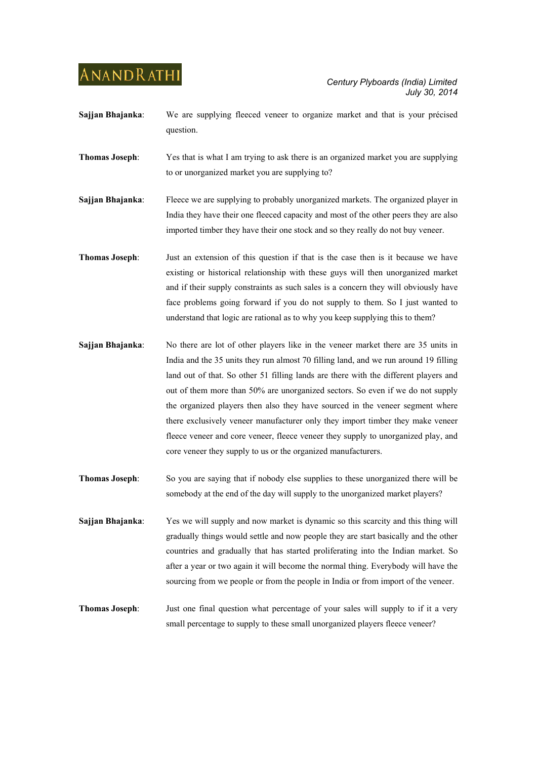- **Sajjan Bhajanka**: We are supplying fleeced veneer to organize market and that is your précised question.
- **Thomas Joseph:** Yes that is what I am trying to ask there is an organized market you are supplying to or unorganized market you are supplying to?
- **Sajjan Bhajanka:** Fleece we are supplying to probably unorganized markets. The organized player in India they have their one fleeced capacity and most of the other peers they are also imported timber they have their one stock and so they really do not buy veneer.
- **Thomas Joseph**: Just an extension of this question if that is the case then is it because we have existing or historical relationship with these guys will then unorganized market and if their supply constraints as such sales is a concern they will obviously have face problems going forward if you do not supply to them. So I just wanted to understand that logic are rational as to why you keep supplying this to them?
- **Sajjan Bhajanka:** No there are lot of other players like in the veneer market there are 35 units in India and the 35 units they run almost 70 filling land, and we run around 19 filling land out of that. So other 51 filling lands are there with the different players and out of them more than 50% are unorganized sectors. So even if we do not supply the organized players then also they have sourced in the veneer segment where there exclusively veneer manufacturer only they import timber they make veneer fleece veneer and core veneer, fleece veneer they supply to unorganized play, and core veneer they supply to us or the organized manufacturers.
- **Thomas Joseph**: So you are saying that if nobody else supplies to these unorganized there will be somebody at the end of the day will supply to the unorganized market players?
- **Sajjan Bhajanka**: Yes we will supply and now market is dynamic so this scarcity and this thing will gradually things would settle and now people they are start basically and the other countries and gradually that has started proliferating into the Indian market. So after a year or two again it will become the normal thing. Everybody will have the sourcing from we people or from the people in India or from import of the veneer.
- **Thomas Joseph**: Just one final question what percentage of your sales will supply to if it a very small percentage to supply to these small unorganized players fleece veneer?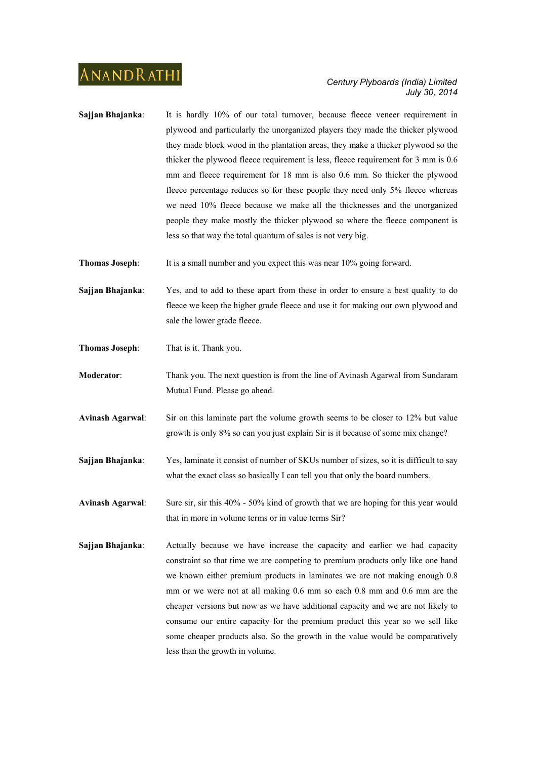**Sajjan Bhajanka**: It is hardly 10% of our total turnover, because fleece veneer requirement in plywood and particularly the unorganized players they made the thicker plywood they made block wood in the plantation areas, they make a thicker plywood so the thicker the plywood fleece requirement is less, fleece requirement for 3 mm is 0.6 mm and fleece requirement for 18 mm is also 0.6 mm. So thicker the plywood fleece percentage reduces so for these people they need only 5% fleece whereas we need 10% fleece because we make all the thicknesses and the unorganized people they make mostly the thicker plywood so where the fleece component is less so that way the total quantum of sales is not very big.

**Thomas Joseph:** It is a small number and you expect this was near 10% going forward.

**Sajjan Bhajanka**: Yes, and to add to these apart from these in order to ensure a best quality to do fleece we keep the higher grade fleece and use it for making our own plywood and sale the lower grade fleece.

**Thomas Joseph**: That is it. Thank you.

**Moderator**: Thank you. The next question is from the line of Avinash Agarwal from Sundaram Mutual Fund. Please go ahead.

**Avinash Agarwal**: Sir on this laminate part the volume growth seems to be closer to 12% but value growth is only 8% so can you just explain Sir is it because of some mix change?

**Sajjan Bhajanka:** Yes, laminate it consist of number of SKUs number of sizes, so it is difficult to say what the exact class so basically I can tell you that only the board numbers.

**Avinash Agarwal**: Sure sir, sir this 40% - 50% kind of growth that we are hoping for this year would that in more in volume terms or in value terms Sir?

**Sajjan Bhajanka:** Actually because we have increase the capacity and earlier we had capacity constraint so that time we are competing to premium products only like one hand we known either premium products in laminates we are not making enough 0.8 mm or we were not at all making 0.6 mm so each 0.8 mm and 0.6 mm are the cheaper versions but now as we have additional capacity and we are not likely to consume our entire capacity for the premium product this year so we sell like some cheaper products also. So the growth in the value would be comparatively less than the growth in volume.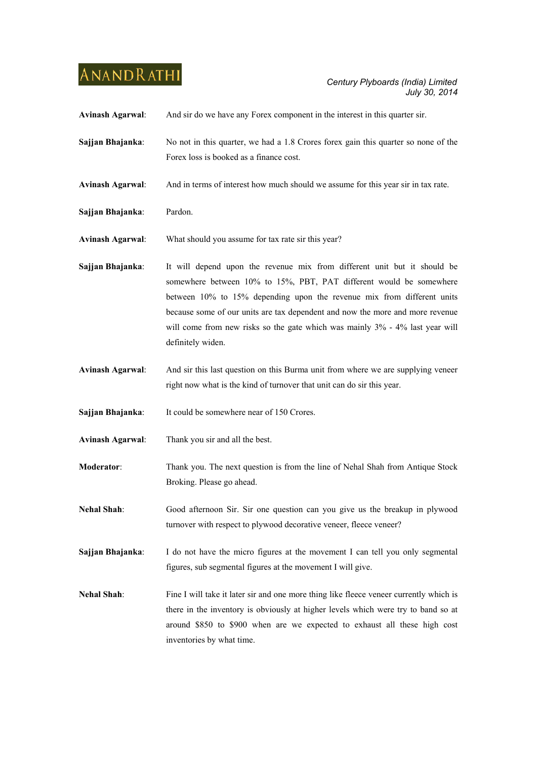| <b>Avinash Agarwal:</b> | And sir do we have any Forex component in the interest in this quarter sir.                                                                                                                                                                                                                                                                                                                                     |
|-------------------------|-----------------------------------------------------------------------------------------------------------------------------------------------------------------------------------------------------------------------------------------------------------------------------------------------------------------------------------------------------------------------------------------------------------------|
| Sajjan Bhajanka:        | No not in this quarter, we had a 1.8 Crores forex gain this quarter so none of the<br>Forex loss is booked as a finance cost.                                                                                                                                                                                                                                                                                   |
| <b>Avinash Agarwal:</b> | And in terms of interest how much should we assume for this year sir in tax rate.                                                                                                                                                                                                                                                                                                                               |
| Sajjan Bhajanka:        | Pardon.                                                                                                                                                                                                                                                                                                                                                                                                         |
| <b>Avinash Agarwal:</b> | What should you assume for tax rate sir this year?                                                                                                                                                                                                                                                                                                                                                              |
| Sajjan Bhajanka:        | It will depend upon the revenue mix from different unit but it should be<br>somewhere between 10% to 15%, PBT, PAT different would be somewhere<br>between 10% to 15% depending upon the revenue mix from different units<br>because some of our units are tax dependent and now the more and more revenue<br>will come from new risks so the gate which was mainly 3% - 4% last year will<br>definitely widen. |
| <b>Avinash Agarwal:</b> | And sir this last question on this Burma unit from where we are supplying veneer<br>right now what is the kind of turnover that unit can do sir this year.                                                                                                                                                                                                                                                      |
| Sajjan Bhajanka:        | It could be somewhere near of 150 Crores.                                                                                                                                                                                                                                                                                                                                                                       |
| <b>Avinash Agarwal:</b> | Thank you sir and all the best.                                                                                                                                                                                                                                                                                                                                                                                 |
| Moderator:              | Thank you. The next question is from the line of Nehal Shah from Antique Stock<br>Broking. Please go ahead.                                                                                                                                                                                                                                                                                                     |
| <b>Nehal Shah:</b>      | Good afternoon Sir. Sir one question can you give us the breakup in plywood<br>turnover with respect to plywood decorative veneer, fleece veneer?                                                                                                                                                                                                                                                               |
| Sajjan Bhajanka:        | I do not have the micro figures at the movement I can tell you only segmental<br>figures, sub segmental figures at the movement I will give.                                                                                                                                                                                                                                                                    |
| <b>Nehal Shah:</b>      | Fine I will take it later sir and one more thing like fleece veneer currently which is<br>there in the inventory is obviously at higher levels which were try to band so at<br>around \$850 to \$900 when are we expected to exhaust all these high cost<br>inventories by what time.                                                                                                                           |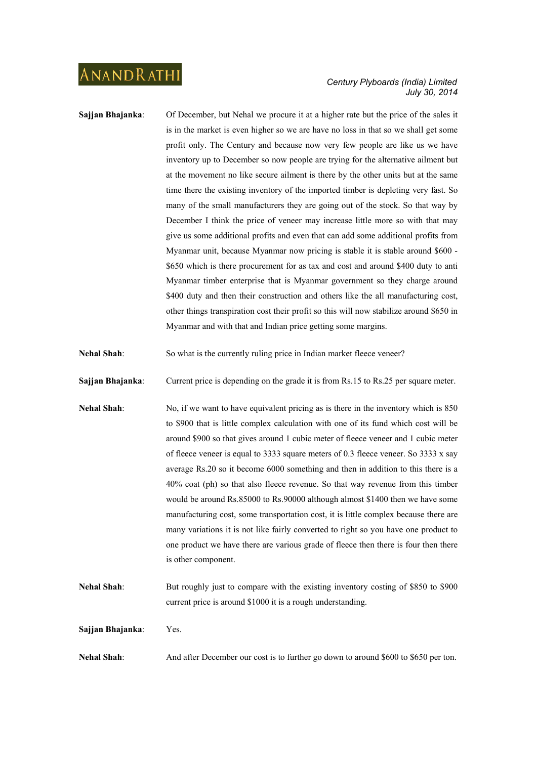- **Sajjan Bhajanka**: Of December, but Nehal we procure it at a higher rate but the price of the sales it is in the market is even higher so we are have no loss in that so we shall get some profit only. The Century and because now very few people are like us we have inventory up to December so now people are trying for the alternative ailment but at the movement no like secure ailment is there by the other units but at the same time there the existing inventory of the imported timber is depleting very fast. So many of the small manufacturers they are going out of the stock. So that way by December I think the price of veneer may increase little more so with that may give us some additional profits and even that can add some additional profits from Myanmar unit, because Myanmar now pricing is stable it is stable around \$600 - \$650 which is there procurement for as tax and cost and around \$400 duty to anti Myanmar timber enterprise that is Myanmar government so they charge around \$400 duty and then their construction and others like the all manufacturing cost, other things transpiration cost their profit so this will now stabilize around \$650 in Myanmar and with that and Indian price getting some margins.
- **Nehal Shah**: So what is the currently ruling price in Indian market fleece veneer?
- **Sajjan Bhajanka:** Current price is depending on the grade it is from Rs.15 to Rs.25 per square meter.
- Nehal Shah: No, if we want to have equivalent pricing as is there in the inventory which is 850 to \$900 that is little complex calculation with one of its fund which cost will be around \$900 so that gives around 1 cubic meter of fleece veneer and 1 cubic meter of fleece veneer is equal to 3333 square meters of 0.3 fleece veneer. So 3333 x say average Rs.20 so it become 6000 something and then in addition to this there is a 40% coat (ph) so that also fleece revenue. So that way revenue from this timber would be around Rs.85000 to Rs.90000 although almost \$1400 then we have some manufacturing cost, some transportation cost, it is little complex because there are many variations it is not like fairly converted to right so you have one product to one product we have there are various grade of fleece then there is four then there is other component.
- **Nehal Shah**: But roughly just to compare with the existing inventory costing of \$850 to \$900 current price is around \$1000 it is a rough understanding.
- **Sajjan Bhajanka**: Yes.
- **Nehal Shah:** And after December our cost is to further go down to around \$600 to \$650 per ton.